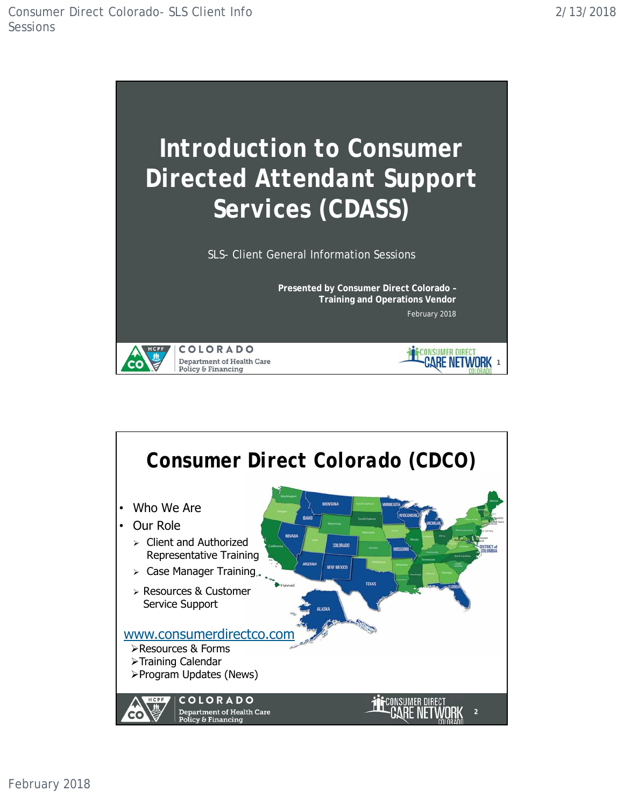

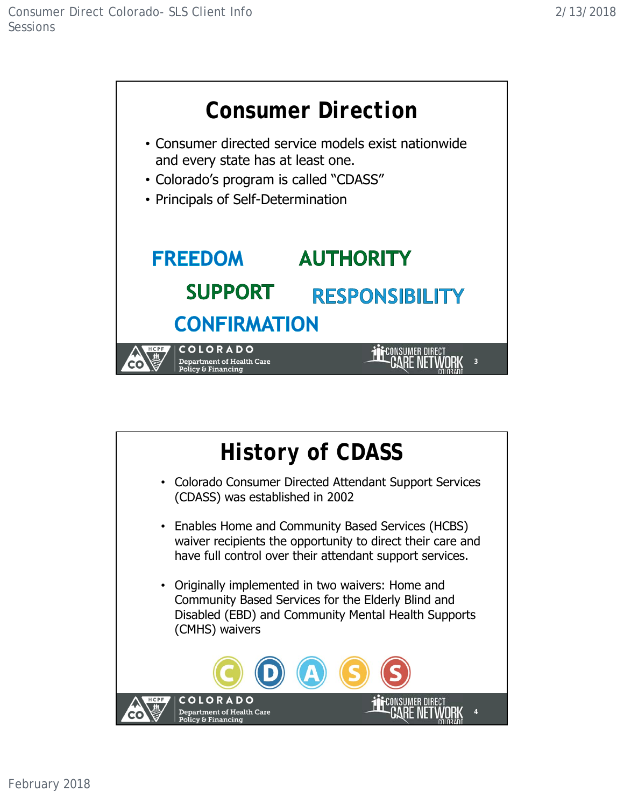

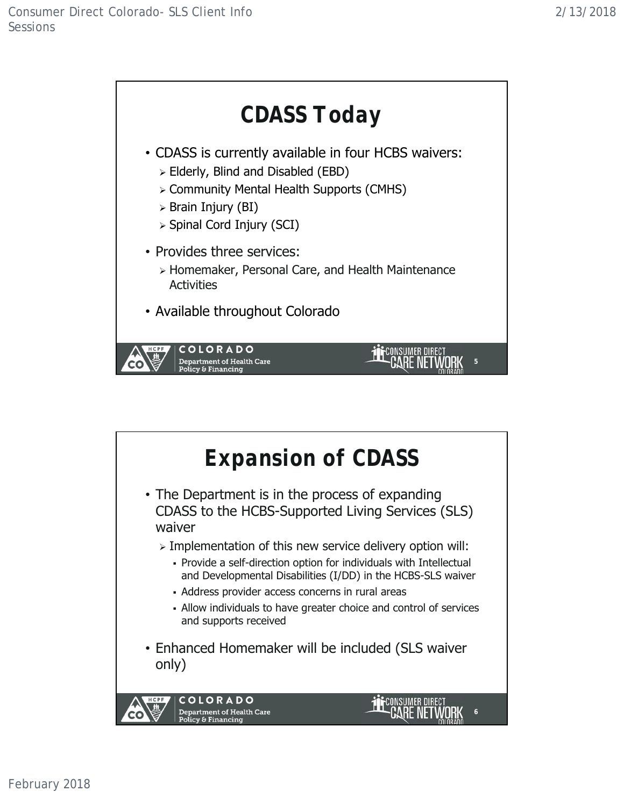

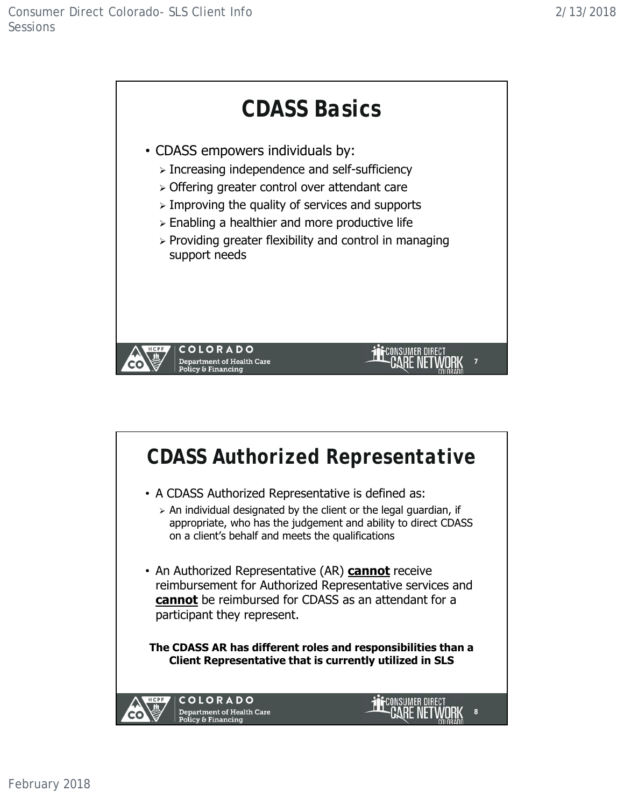

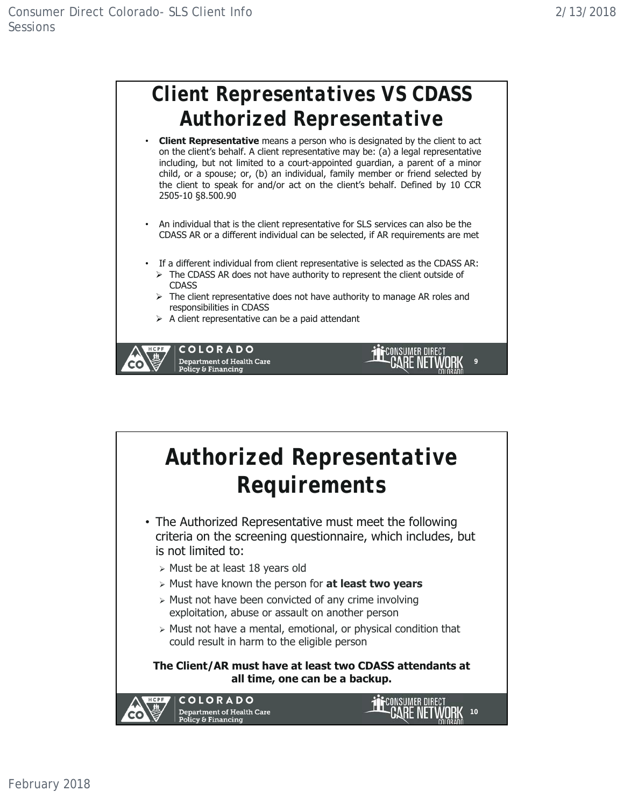

- **Client Representative** means a person who is designated by the client to act on the client's behalf. A client representative may be: (a) a legal representative including, but not limited to a court-appointed guardian, a parent of a minor child, or a spouse; or, (b) an individual, family member or friend selected by the client to speak for and/or act on the client's behalf. Defined by 10 CCR 2505-10 §8.500.90
- An individual that is the client representative for SLS services can also be the CDASS AR or a different individual can be selected, if AR requirements are met
- If a different individual from client representative is selected as the CDASS AR:
	- $\triangleright$  The CDASS AR does not have authority to represent the client outside of **CDASS**
	- $\triangleright$  The client representative does not have authority to manage AR roles and responsibilities in CDASS

**9**

CONSUMER DIRECT

 $\triangleright$  A client representative can be a paid attendant



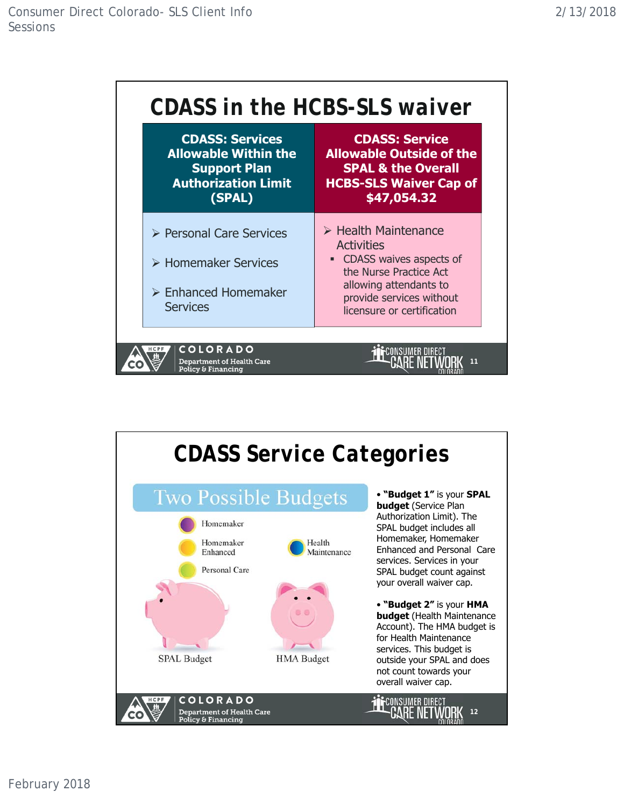

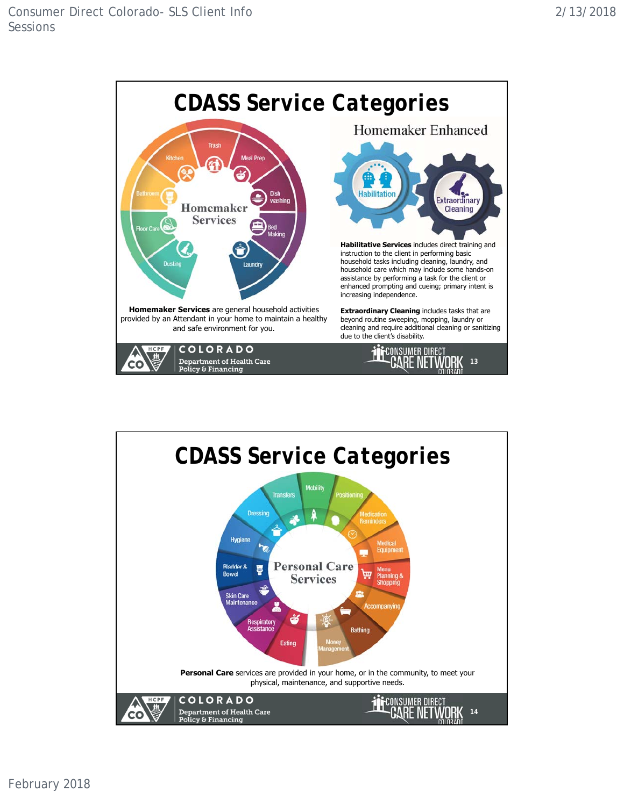

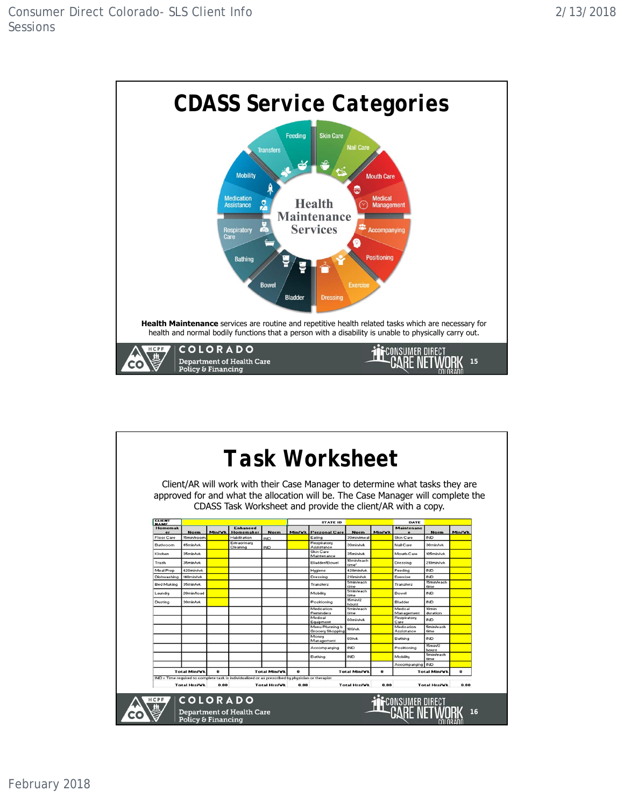

|                              |                                                                                                                                          |        |                                  |                           |                 | Client/AR will work with their Case Manager to determine what tasks they are<br>approved for and what the allocation will be. The Case Manager will complete the<br>CDASS Task Worksheet and provide the client/AR with a copy. |                          |          |                          |                               |        |
|------------------------------|------------------------------------------------------------------------------------------------------------------------------------------|--------|----------------------------------|---------------------------|-----------------|---------------------------------------------------------------------------------------------------------------------------------------------------------------------------------------------------------------------------------|--------------------------|----------|--------------------------|-------------------------------|--------|
| <b>CLIENT</b><br><b>NAME</b> |                                                                                                                                          |        |                                  |                           | <b>STATE ID</b> |                                                                                                                                                                                                                                 |                          |          | DATE                     |                               |        |
| <b>Homemak</b>               |                                                                                                                                          | Min/Vk | <b>Enhanced</b>                  |                           |                 | <b>Personal Care</b>                                                                                                                                                                                                            | <b>Norm</b>              |          | <b>Maintenanc</b>        |                               |        |
| er<br><b>Floor Care</b>      | <b>Norm</b><br>15min/room                                                                                                                |        | <b>Homemaker</b><br>Habilitation | <b>Norm</b><br><b>IND</b> | <b>Min/Vk</b>   | Eating                                                                                                                                                                                                                          | 30min/mea                | Min/Vk   | Skin Care                | <b>Norm</b><br><b>IND</b>     | Min/Vk |
| Bathroom                     | 45min/wk                                                                                                                                 |        | Extraorinary<br>Cleaning         | <b>IND</b>                |                 | Respiratory<br>Assistance                                                                                                                                                                                                       | 30min/wk                 |          | Nail Care                | 30min/wk                      |        |
| Kitchen                      | 35min/wk                                                                                                                                 |        |                                  |                           |                 | Skin Care<br>Maintenance                                                                                                                                                                                                        | 35min/wk                 |          | Mouth Care               | 105min/wk                     |        |
| Trash                        | 35min/wk                                                                                                                                 |        |                                  |                           |                 | Bladder/Bowel                                                                                                                                                                                                                   | 10min/each<br>time'      |          | Dressing                 | 210min/wk                     |        |
| Meal Prep                    | 420min/wk                                                                                                                                |        |                                  |                           |                 | Hygiene                                                                                                                                                                                                                         | 420min/wk                |          | Feeding                  | <b>IND</b>                    |        |
| Dishwashing                  | 140min/wk                                                                                                                                |        |                                  |                           |                 | Dressing                                                                                                                                                                                                                        | 210min/wk                |          | Exercise                 | <b>IND</b>                    |        |
| <b>Bed Making</b>            | 35min/wk                                                                                                                                 |        |                                  |                           |                 | Transfers                                                                                                                                                                                                                       | <b>5min/each</b><br>time |          | Transfers                | 15min/each<br>time            |        |
| Laundry                      | 20min/load                                                                                                                               |        |                                  |                           |                 | Mobility                                                                                                                                                                                                                        | <b>5min/each</b><br>time |          | Bowel                    | <b>IND</b>                    |        |
| Dusting                      | 30min/wk                                                                                                                                 |        |                                  |                           |                 | Positioning                                                                                                                                                                                                                     | 15min/2<br>hours         |          | Bladder                  | <b>IND</b>                    |        |
|                              |                                                                                                                                          |        |                                  |                           |                 | Medication<br>Reminders                                                                                                                                                                                                         | <b>5min/each</b><br>time |          | Medical<br>Management    | 10 <sub>min</sub><br>duration |        |
|                              |                                                                                                                                          |        |                                  |                           |                 | Medical<br>Equipment                                                                                                                                                                                                            | 60min/wk                 |          | Respiratory<br>Care      | <b>IND</b>                    |        |
|                              |                                                                                                                                          |        |                                  |                           |                 | Menu Planning &<br><b>Grocery Shopping</b>                                                                                                                                                                                      | 180/wk                   |          | Medication<br>Assistance | <b>5min/each</b><br>time      |        |
|                              |                                                                                                                                          |        |                                  |                           |                 | Money<br>Management                                                                                                                                                                                                             | 60/wk                    |          | Bathing                  | <b>IND</b>                    |        |
|                              |                                                                                                                                          |        |                                  |                           |                 | Accompanying                                                                                                                                                                                                                    | <b>IND</b>               |          | Positioning              | 15min/2<br>hours              |        |
|                              |                                                                                                                                          |        |                                  |                           |                 | Bathing                                                                                                                                                                                                                         | <b>IND</b>               |          | Mobility                 | <b>5min/each</b><br>time      |        |
|                              |                                                                                                                                          |        |                                  |                           |                 |                                                                                                                                                                                                                                 |                          |          | Accompanying IND         |                               |        |
|                              | <b>Total Min/Vk</b><br>$\mathbf{a}$<br>IND = Time required to complete task is individualized or as prescribed by physician or therapist |        | <b>Total Min/Vk</b>              |                           | $\Omega$        |                                                                                                                                                                                                                                 | <b>Total Min/VI</b>      | $\bf{0}$ |                          | Total Min/VI                  | 0      |
|                              | <b>Total Hrs/Vk</b>                                                                                                                      | 0.00   |                                  | <b>Total Hrs/Vk</b>       | 0.00            |                                                                                                                                                                                                                                 | <b>Total Hrs/Vk</b>      | 0.00     |                          | <b>Total Hrs/Vk</b>           | 0.00   |
| HCPF                         | <b>COLORADO</b><br>Policy & Financing                                                                                                    |        | <b>Department of Health Care</b> |                           |                 |                                                                                                                                                                                                                                 |                          |          |                          |                               |        |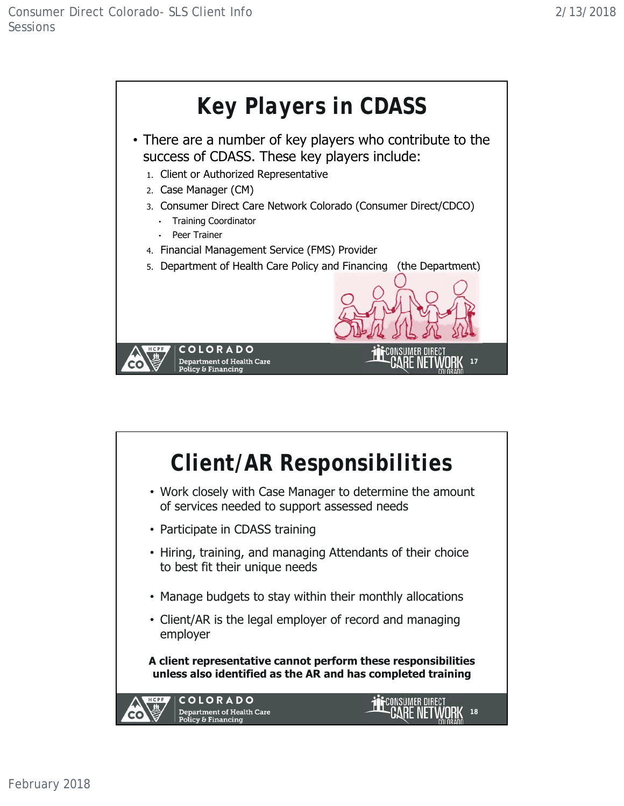

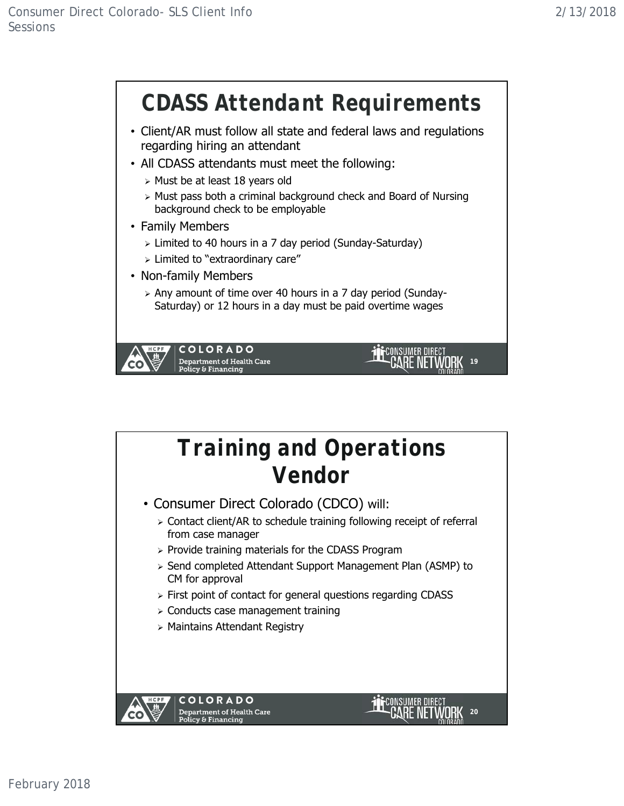

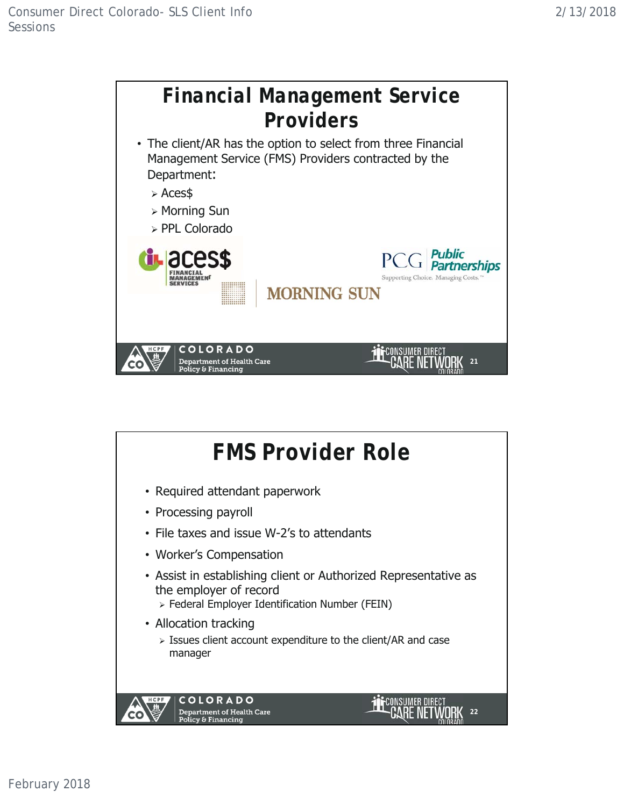

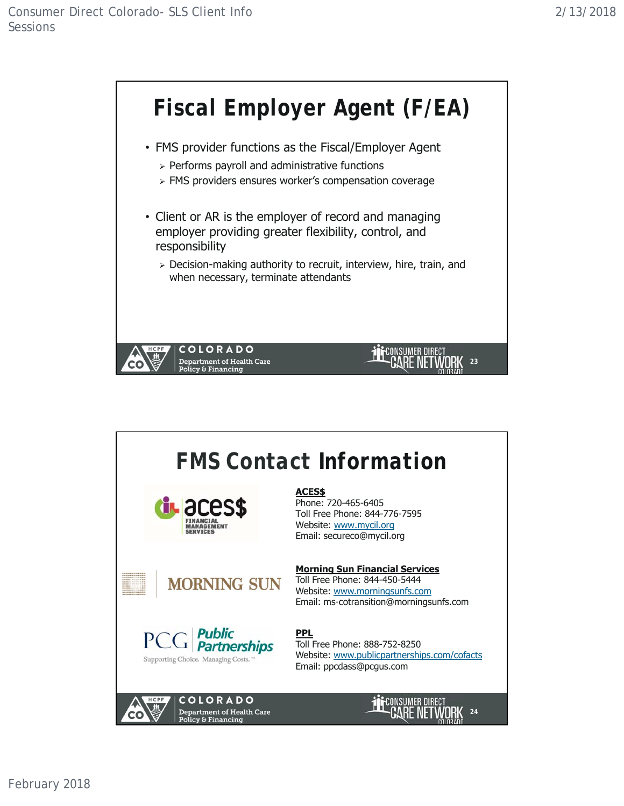

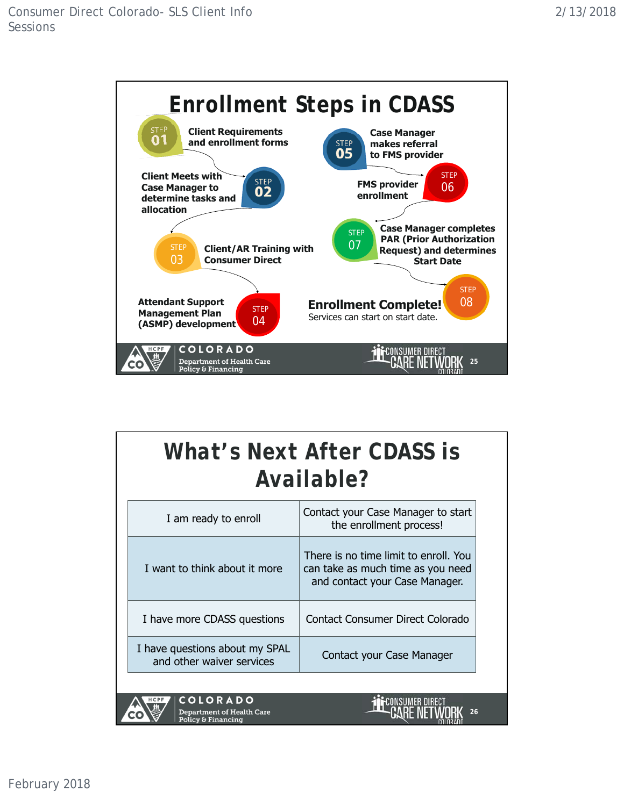

## *What's Next After CDASS is Available?*

| I am ready to enroll                                                              | Contact your Case Manager to start<br>the enrollment process!                                                |  |  |  |  |  |
|-----------------------------------------------------------------------------------|--------------------------------------------------------------------------------------------------------------|--|--|--|--|--|
| I want to think about it more                                                     | There is no time limit to enroll. You<br>can take as much time as you need<br>and contact your Case Manager. |  |  |  |  |  |
| I have more CDASS questions                                                       | Contact Consumer Direct Colorado                                                                             |  |  |  |  |  |
| I have questions about my SPAL<br>and other waiver services                       | Contact your Case Manager                                                                                    |  |  |  |  |  |
|                                                                                   |                                                                                                              |  |  |  |  |  |
| <b>COLORADO</b><br>HCPF<br><b>Department of Health Care</b><br>Dalian & Einanaine | 26                                                                                                           |  |  |  |  |  |

Policy & Financing

February 2018